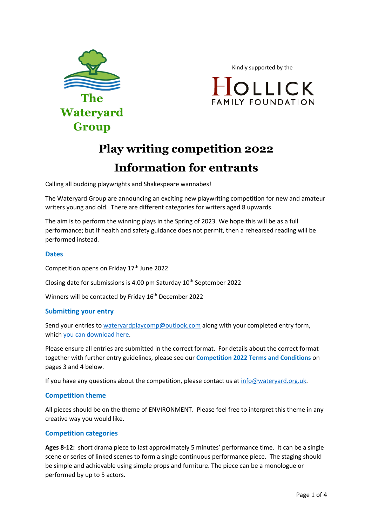

Kindly supported by the



# **Play writing competition 2022 Information for entrants**

Calling all budding playwrights and Shakespeare wannabes!

The Wateryard Group are announcing an exciting new playwriting competition for new and amateur writers young and old. There are different categories for writers aged 8 upwards.

The aim is to perform the winning plays in the Spring of 2023. We hope this will be as a full performance; but if health and safety guidance does not permit, then a rehearsed reading will be performed instead.

## **Dates**

Competition opens on Friday 17<sup>th</sup> June 2022

Closing date for submissions is 4.00 pm Saturday  $10<sup>th</sup>$  September 2022

Winners will be contacted by Friday 16<sup>th</sup> December 2022

### **Submitting your entry**

Send your entries to wateryardplaycomp@outlook.com along with your completed entry form, which you can download here.

Please ensure all entries are submitted in the correct format. For details about the correct format together with further entry guidelines, please see our **Competition 2022 Terms and Conditions** on pages 3 and 4 below.

If you have any questions about the competition, please contact us at  $info@water yard.org.uk$ .

### **Competition theme**

All pieces should be on the theme of ENVIRONMENT. Please feel free to interpret this theme in any creative way you would like.

# **Competition categories**

**Ages 8-12:** short drama piece to last approximately 5 minutes' performance time. It can be a single scene or series of linked scenes to form a single continuous performance piece. The staging should be simple and achievable using simple props and furniture. The piece can be a monologue or performed by up to 5 actors.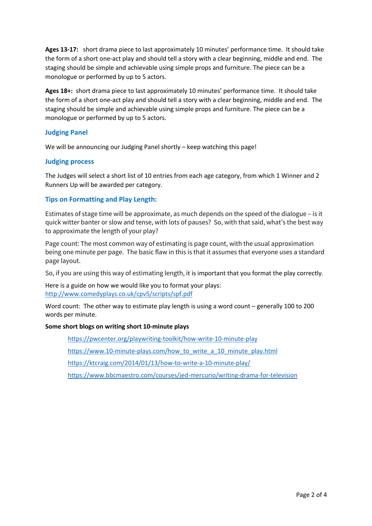**Ages 13-17:** short drama piece to last approximately 10 minutes' performance time. It should take the form of a short one-act play and should tell a story with a clear beginning, middle and end. The staging should be simple and achievable using simple props and furniture. The piece can be a monologue or performed by up to 5 actors.

**Ages 18+:** short drama piece to last approximately 10 minutes' performance time. It should take the form of a short one-act play and should tell a story with a clear beginning, middle and end. The staging should be simple and achievable using simple props and furniture. The piece can be a monologue or performed by up to 5 actors.

## **Judging Panel**

We will be announcing our Judging Panel shortly – keep watching this page!

### **Judging process**

The Judges will select a short list of 10 entries from each age category, from which 1 Winner and 2 Runners Up will be awarded per category.

## **Tips on Formatting and Play Length:**

Estimates of stage time will be approximate, as much depends on the speed of the dialogue – is it quick witter banter or slow and tense, with lots of pauses? So, with that said, what's the best way to approximate the length of your play?

Page count: The most common way of estimating is page count, with the usual approximation being one minute per page. The basic flaw in this is that it assumes that everyone uses a standard page layout.

So, if you are using this way of estimating length, it is important that you format the play correctly.

Here is a guide on how we would like you to format your plays: http://www.comedyplays.co.uk/cpv5/scripts/spf.pdf

Word count:The other way to estimate play length is using a word count – generally 100 to 200 words per minute.

### **Some short blogs on writing short 10-minute plays**

https://pwcenter.org/playwriting-toolkit/how-write-10-minute-play

https://www.10-minute-plays.com/how\_to\_write\_a\_10\_minute\_play.html

https://ktcraig.com/2014/01/13/how-to-write-a-10-minute-play/

https://www.bbcmaestro.com/courses/jed-mercurio/writing-drama-for-television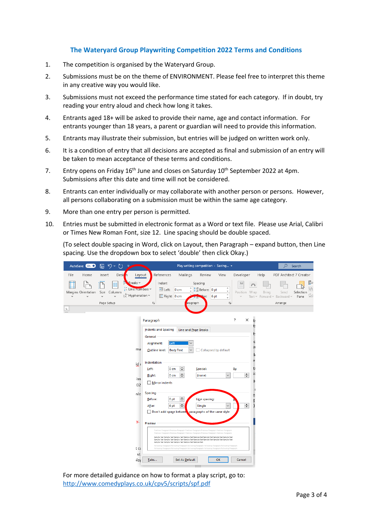# **The Wateryard Group Playwriting Competition 2022 Terms and Conditions**

- 1. The competition is organised by the Wateryard Group.
- 2. Submissions must be on the theme of ENVIRONMENT. Please feel free to interpret this theme in any creative way you would like.
- 3. Submissions must not exceed the performance time stated for each category. If in doubt, try reading your entry aloud and check how long it takes.
- 4. Entrants aged 18+ will be asked to provide their name, age and contact information. For entrants younger than 18 years, a parent or guardian will need to provide this information.
- 5. Entrants may illustrate their submission, but entries will be judged on written work only.
- 6. It is a condition of entry that all decisions are accepted as final and submission of an entry will be taken to mean acceptance of these terms and conditions.
- 7. Entry opens on Friday 16<sup>th</sup> June and closes on Saturday 10<sup>th</sup> September 2022 at 4pm. Submissions after this date and time will not be considered.
- 8. Entrants can enter individually or may collaborate with another person or persons. However, all persons collaborating on a submission must be within the same age category.
- 9. More than one entry per person is permitted.
- 10. Entries must be submitted in electronic format as a Word or text file. Please use Arial, Calibri or Times New Roman Font, size 12. Line spacing should be double spaced.

(To select double spacing in Word, click on Layout, then Paragraph – expand button, then Line spacing. Use the dropdown box to select 'double' then click Okay.)

| り、<br>屬<br>AutoSave <b>On</b> O<br>( 7                                                                                                                                  | Play writing competition - Saving +<br>Ω<br>Search                                                                                                                                                                                                                                                                                                                                                                                                                                                                                                                                                                                                                                                                                                                                                                                                                                                                                                                                                                                                                                                                                                                                                                                                                                                                               |
|-------------------------------------------------------------------------------------------------------------------------------------------------------------------------|----------------------------------------------------------------------------------------------------------------------------------------------------------------------------------------------------------------------------------------------------------------------------------------------------------------------------------------------------------------------------------------------------------------------------------------------------------------------------------------------------------------------------------------------------------------------------------------------------------------------------------------------------------------------------------------------------------------------------------------------------------------------------------------------------------------------------------------------------------------------------------------------------------------------------------------------------------------------------------------------------------------------------------------------------------------------------------------------------------------------------------------------------------------------------------------------------------------------------------------------------------------------------------------------------------------------------------|
| File<br>Home<br>Desi<br>Insert<br>h                                                                                                                                     | References<br>Developer<br>PDF Architect 7 Creator<br>Mailings<br>View<br>Help<br>Review<br>Layout                                                                                                                                                                                                                                                                                                                                                                                                                                                                                                                                                                                                                                                                                                                                                                                                                                                                                                                                                                                                                                                                                                                                                                                                                               |
| Breaks ~<br>$\frac{1}{2}$ . Line Numbers $\sim$<br>Size<br>Margins Orientation<br>Columns<br>$ba$ Hyphenation $\sim$<br>$\ddot{}$<br>$\ddot{\phantom{1}}$<br>Page Setup | Þ<br>Indent<br>Spacing<br><b>B</b><br>Ϊ.<br>$\hat{C}$ $\hat{L}$ $\equiv$ Before: 0 pt<br>۸<br>$\overline{\div}$ Left:<br>$0 \text{ cm}$<br>v<br>Position Wrap<br>Send<br>Selection<br>Bring<br>۰<br>$E +$ Right: 0 cm<br>$\geq$<br>6 <sub>pt</sub><br>Text ~ Forward ~ Backward ~<br>Pane<br>iter:<br>v<br>$\overline{\mathbb{N}}$<br>$\overline{\mathbb{N}}$<br>Arrange<br>aragraph                                                                                                                                                                                                                                                                                                                                                                                                                                                                                                                                                                                                                                                                                                                                                                                                                                                                                                                                             |
| $\mathbb{L}$                                                                                                                                                            |                                                                                                                                                                                                                                                                                                                                                                                                                                                                                                                                                                                                                                                                                                                                                                                                                                                                                                                                                                                                                                                                                                                                                                                                                                                                                                                                  |
|                                                                                                                                                                         | ?<br>$\times$<br>Paragraph<br>t:                                                                                                                                                                                                                                                                                                                                                                                                                                                                                                                                                                                                                                                                                                                                                                                                                                                                                                                                                                                                                                                                                                                                                                                                                                                                                                 |
|                                                                                                                                                                         | t:<br><b>Indents and Spacing</b><br>Line and Page Breaks<br>t:<br>General<br>O<br>Alignment:<br>Left<br>9I<br>ma<br><b>Body Text</b><br>Collapsed by default<br>Outline level:<br>10<br>e<br>Indentation<br>id r<br>÷<br>t:<br>0 <sub>cm</sub><br>Left:<br>Special:<br>By:<br>5 <sup>c</sup><br>$\div$<br>$\div$<br>Right:<br>0 <sub>cm</sub><br>(none)<br>$\checkmark$<br>iss<br>Mirror indents<br>:02<br>Spacing<br>nlc<br>e.<br>÷<br>Line spacing:<br>Before:<br>0 <sub>pt</sub><br>3<br>$\div$<br>÷<br>6 pt<br>Single<br>After:<br>$\checkmark$<br>Don't add space betwee paragraphs of the same style<br>у.<br>Preview<br>Previous Paragraph Previous Paragraph Previous Paragraph Previous Paragraph Previous Paragraph<br>Previous Paragraph Previous Paragraph Previous Paragraph Previous Paragraph Previous Paragraph<br>Sample Text Sample Text Sample Text Sample Text Sample Text Sample Text Sample Text Sample Text<br>Sample Text Sample Text Sample Text Sample Text Sample Text Sample Text Sample Text Sample Text<br>Sample Text Sample Text Sample Text Sample Text Sample Text<br>Following Paragraph Following Paragraph Following Paragraph Following Paragraph Following Paragraph<br>t ca<br>Following Paragraph Following Paragraph Following Paragraph Following Paragraph Following Paragraph<br>st |
|                                                                                                                                                                         | OK<br>Cancel<br>Tabs<br>Set As Default<br>alo                                                                                                                                                                                                                                                                                                                                                                                                                                                                                                                                                                                                                                                                                                                                                                                                                                                                                                                                                                                                                                                                                                                                                                                                                                                                                    |

For more detailed guidance on how to format a play script, go to: http://www.comedyplays.co.uk/cpv5/scripts/spf.pdf